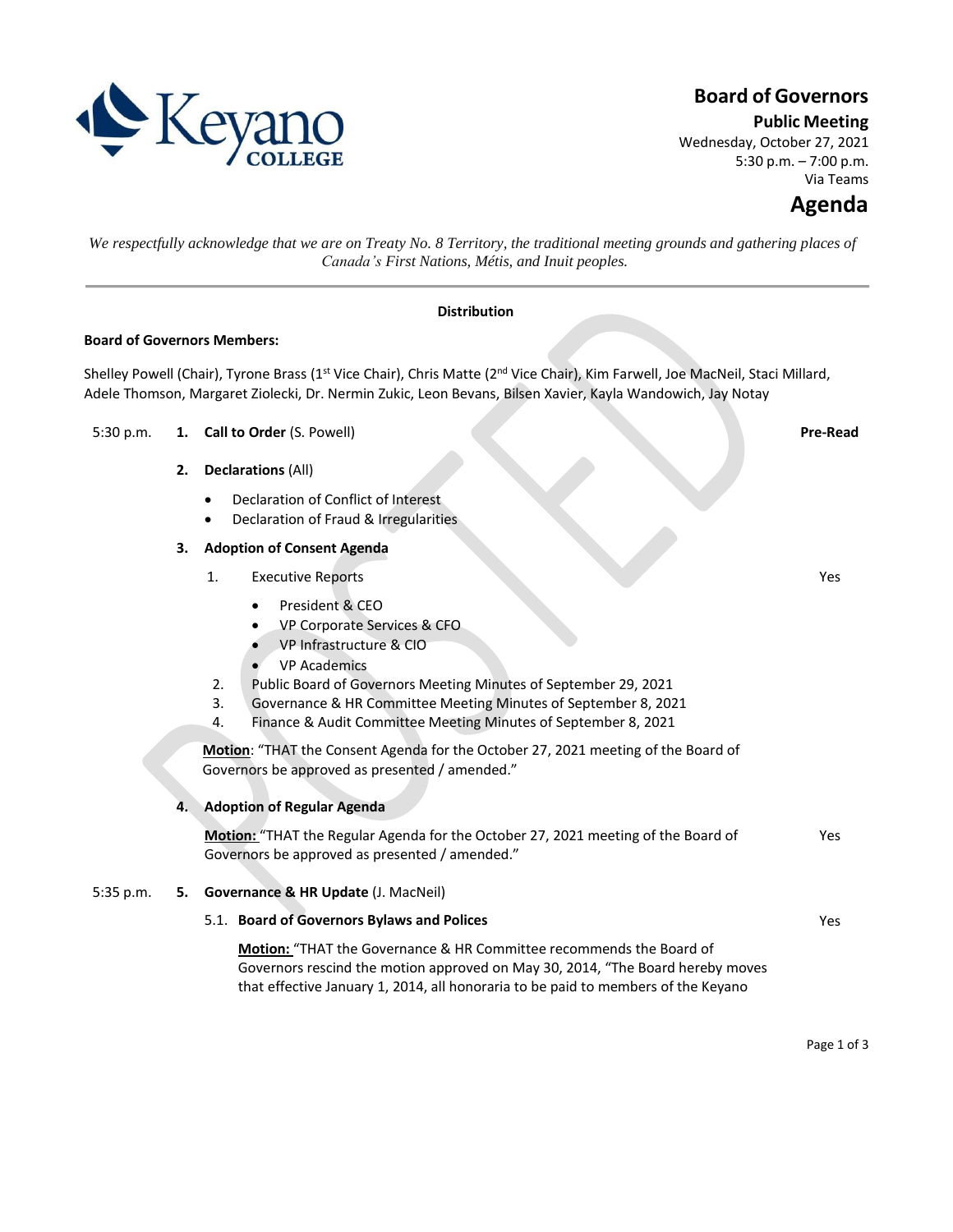

# **Board of Governors**

**Public Meeting**

Wednesday, October 27, 2021 5:30 p.m. – 7:00 p.m. Via Teams

Yes

*We respectfully acknowledge that we are on Treaty No. 8 Territory, the traditional meeting grounds and gathering places of Canada's First Nations, Métis, and Inuit peoples.*

### **Distribution**

#### **Board of Governors Members:**

Shelley Powell (Chair), Tyrone Brass (1<sup>st</sup> Vice Chair), Chris Matte (2<sup>nd</sup> Vice Chair), Kim Farwell, Joe MacNeil, Staci Millard, Adele Thomson, Margaret Ziolecki, Dr. Nermin Zukic, Leon Bevans, Bilsen Xavier, Kayla Wandowich, Jay Notay

### 5:30 p.m. **1. Call to Order** (S. Powell) **Pre-Read**

- **2. Declarations** (All)
	- Declaration of Conflict of Interest
	- Declaration of Fraud & Irregularities

# **3. Adoption of Consent Agenda**

- 1. Executive Reports
	- President & CEO
	- VP Corporate Services & CFO
	- VP Infrastructure & CIO
	- **VP Academics**
- 2. Public Board of Governors Meeting Minutes of September 29, 2021
- 3. Governance & HR Committee Meeting Minutes of September 8, 2021
- 4. Finance & Audit Committee Meeting Minutes of September 8, 2021

**Motion**: "THAT the Consent Agenda for the October 27, 2021 meeting of the Board of Governors be approved as presented / amended."

## **4. Adoption of Regular Agenda**

**Motion:** "THAT the Regular Agenda for the October 27, 2021 meeting of the Board of Governors be approved as presented / amended." Yes

# 5:35 p.m. **5. Governance & HR Update** (J. MacNeil)

#### 5.1. **Board of Governors Bylaws and Polices**

**Motion:** "THAT the Governance & HR Committee recommends the Board of Governors rescind the motion approved on May 30, 2014, "The Board hereby moves that effective January 1, 2014, all honoraria to be paid to members of the Keyano

Yes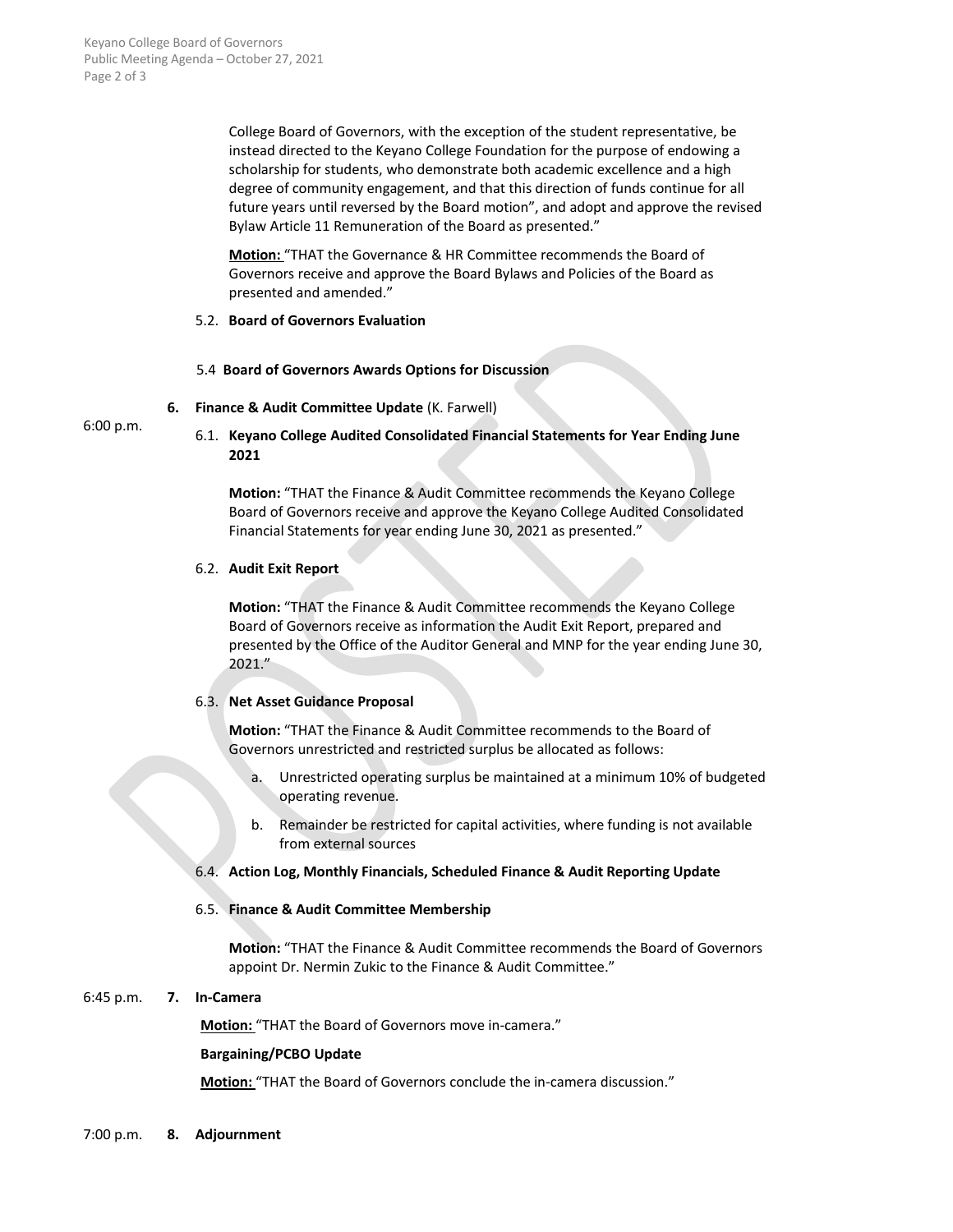College Board of Governors, with the exception of the student representative, be instead directed to the Keyano College Foundation for the purpose of endowing a scholarship for students, who demonstrate both academic excellence and a high degree of community engagement, and that this direction of funds continue for all future years until reversed by the Board motion", and adopt and approve the revised Bylaw Article 11 Remuneration of the Board as presented."

**Motion:** "THAT the Governance & HR Committee recommends the Board of Governors receive and approve the Board Bylaws and Policies of the Board as presented and amended."

#### 5.2. **Board of Governors Evaluation**

#### 5.4 **Board of Governors Awards Options for Discussion**

**6. Finance & Audit Committee Update** (K. Farwell)

6:00 p.m.

6.1. **Keyano College Audited Consolidated Financial Statements for Year Ending June 2021**

**Motion:** "THAT the Finance & Audit Committee recommends the Keyano College Board of Governors receive and approve the Keyano College Audited Consolidated Financial Statements for year ending June 30, 2021 as presented."

#### 6.2. **Audit Exit Report**

**Motion:** "THAT the Finance & Audit Committee recommends the Keyano College Board of Governors receive as information the Audit Exit Report, prepared and presented by the Office of the Auditor General and MNP for the year ending June 30, 2021."

#### 6.3. **Net Asset Guidance Proposal**

**Motion:** "THAT the Finance & Audit Committee recommends to the Board of Governors unrestricted and restricted surplus be allocated as follows:

- a. Unrestricted operating surplus be maintained at a minimum 10% of budgeted operating revenue.
- b. Remainder be restricted for capital activities, where funding is not available from external sources

#### 6.4. **Action Log, Monthly Financials, Scheduled Finance & Audit Reporting Update**

#### 6.5. **Finance & Audit Committee Membership**

**Motion:** "THAT the Finance & Audit Committee recommends the Board of Governors appoint Dr. Nermin Zukic to the Finance & Audit Committee."

#### 6:45 p.m. **7. In-Camera**

**Motion:** "THAT the Board of Governors move in-camera."

#### **Bargaining/PCBO Update**

**Motion:** "THAT the Board of Governors conclude the in-camera discussion."

7:00 p.m. **8. Adjournment**